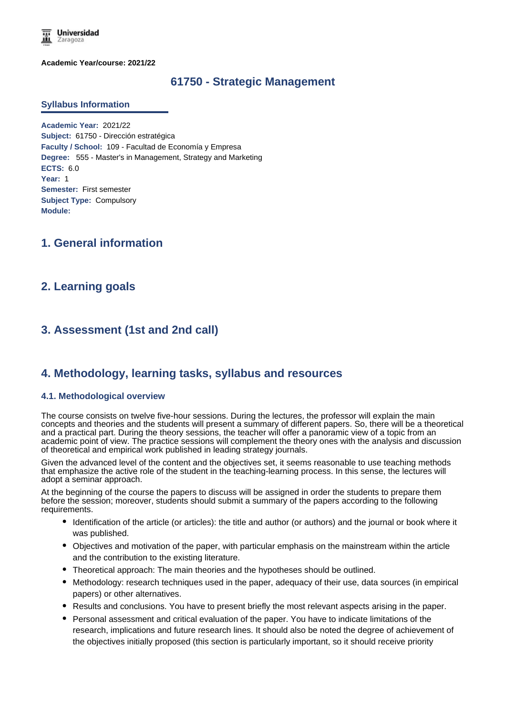

**Academic Year/course: 2021/22**

# **61750 - Strategic Management**

#### **Syllabus Information**

**Academic Year:** 2021/22 **Subject:** 61750 - Dirección estratégica **Faculty / School:** 109 - Facultad de Economía y Empresa **Degree:** 555 - Master's in Management, Strategy and Marketing **ECTS:** 6.0 **Year:** 1 **Semester:** First semester **Subject Type:** Compulsory **Module:**

# **1. General information**

# **2. Learning goals**

# **3. Assessment (1st and 2nd call)**

# **4. Methodology, learning tasks, syllabus and resources**

#### **4.1. Methodological overview**

The course consists on twelve five-hour sessions. During the lectures, the professor will explain the main concepts and theories and the students will present a summary of different papers. So, there will be a theoretical and a practical part. During the theory sessions, the teacher will offer a panoramic view of a topic from an academic point of view. The practice sessions will complement the theory ones with the analysis and discussion of theoretical and empirical work published in leading strategy journals.

Given the advanced level of the content and the objectives set, it seems reasonable to use teaching methods that emphasize the active role of the student in the teaching-learning process. In this sense, the lectures will adopt a seminar approach.

At the beginning of the course the papers to discuss will be assigned in order the students to prepare them before the session; moreover, students should submit a summary of the papers according to the following requirements.

- Identification of the article (or articles): the title and author (or authors) and the journal or book where it was published.
- Objectives and motivation of the paper, with particular emphasis on the mainstream within the article and the contribution to the existing literature.
- Theoretical approach: The main theories and the hypotheses should be outlined.
- Methodology: research techniques used in the paper, adequacy of their use, data sources (in empirical papers) or other alternatives.
- Results and conclusions. You have to present briefly the most relevant aspects arising in the paper.
- Personal assessment and critical evaluation of the paper. You have to indicate limitations of the research, implications and future research lines. It should also be noted the degree of achievement of the objectives initially proposed (this section is particularly important, so it should receive priority